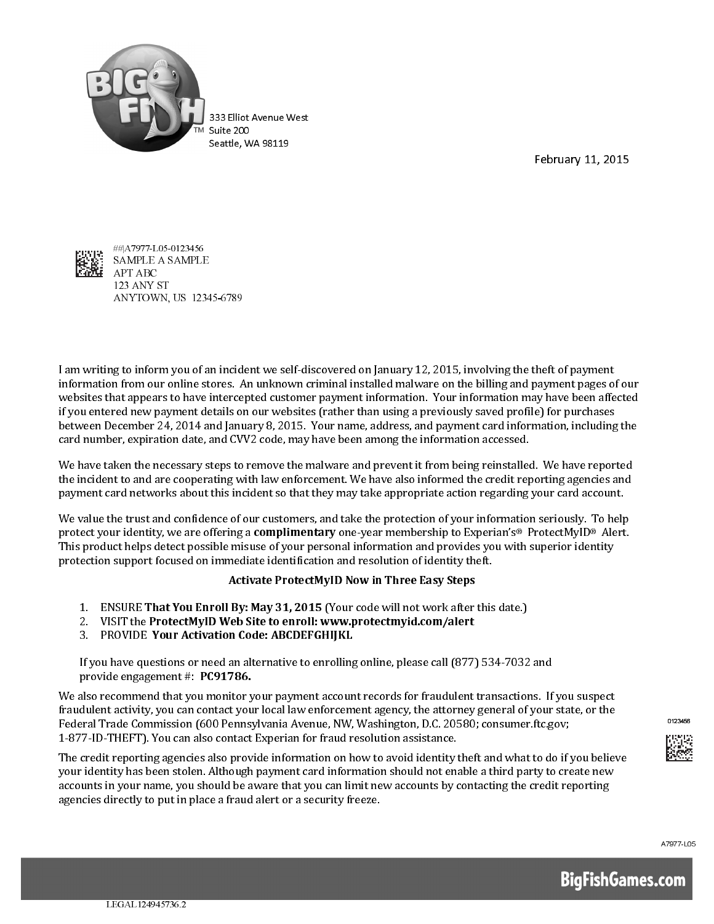

333 Elliot Avenue West Suite 200 Seattle, WA 98119

February 11, 2015



##|A7977-L05-0123456 SAMPLE A SAMPLE **APT ABC 123 ANY ST** ANYTOWN, US 12345-6789

I am writing to inform you of an incident we self-discovered on January 12, 2015, involving the theft of payment information from our online stores. An unknown criminal installed malware on the billing and payment pages of our websites that appears to have intercepted customer payment information. Your information may have been affected if you entered new payment details on our websites (rather than using a previously saved profile) for purchases between December 24, 2014 and January 8, 2015. Your name, address, and payment card information, including the card number, expiration date, and CVV2 code, may have been among the information accessed.

We have taken the necessary steps to remove the malware and prevent it from being reinstalled. We have reported the incident to and are cooperating with law enforcement. We have also informed the credit reporting agencies and payment card networks about this incident so that they may take appropriate action regarding your card account.

We value the trust and confidence of our customers, and take the protection of your information seriously. To help protect your identity, we are offering a complimentary one-year membership to Experian's<sup>®</sup> ProtectMyID<sup>®</sup> Alert. This product helps detect possible misuse of your personal information and provides you with superior identity protection support focused on immediate identification and resolution of identity theft.

## **Activate ProtectMyID Now in Three Easy Steps**

- 1. ENSURE That You Enroll By: May 31, 2015 (Your code will not work after this date.)
- $2.$ VISIT the ProtectMyID Web Site to enroll: www.protectmyid.com/alert
- 3. PROVIDE Your Activation Code: ABCDEFGHIJKL

If you have questions or need an alternative to enrolling online, please call (877) 534-7032 and provide engagement  $\#$ : PC91786.

We also recommend that you monitor your payment account records for fraudulent transactions. If you suspect fraudulent activity, you can contact your local law enforcement agency, the attorney general of your state, or the Federal Trade Commission (600 Pennsylvania Avenue, NW, Washington, D.C. 20580; consumer.ftc.gov; 1-877-ID-THEFT). You can also contact Experian for fraud resolution assistance.

The credit reporting agencies also provide information on how to avoid identity theft and what to do if you believe your identity has been stolen. Although payment card information should not enable a third party to create new accounts in your name, you should be aware that you can limit new accounts by contacting the credit reporting agencies directly to put in place a fraud alert or a security freeze.